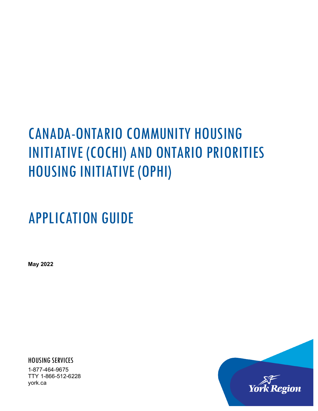# CANADA-ONTARIO COMMUNITY HOUSING INITIATIVE (COCHI) AND ONTARIO PRIORITIES HOUSING INITIATIVE (OPHI)

# APPLICATION GUIDE

**May 2022**

HOUSING SERVICES

1-877-464-9675 TTY 1-866-512-6228 york.ca

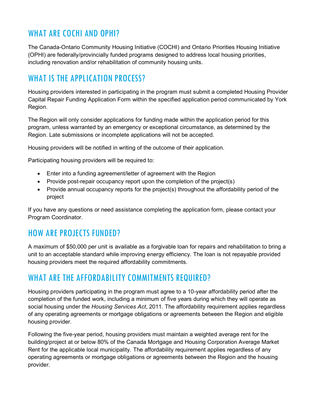# WHAT ARE COCHI AND OPHI?

The Canada-Ontario Community Housing Initiative (COCHI) and Ontario Priorities Housing Initiative (OPHI) are federally/provincially funded programs designed to address local housing priorities, including renovation and/or rehabilitation of community housing units.

# WHAT IS THE APPLICATION PROCESS?

Housing providers interested in participating in the program must submit a completed Housing Provider Capital Repair Funding Application Form within the specified application period communicated by York Region.

The Region will only consider applications for funding made within the application period for this program, unless warranted by an emergency or exceptional circumstance, as determined by the Region. Late submissions or incomplete applications will not be accepted.

Housing providers will be notified in writing of the outcome of their application.

Participating housing providers will be required to:

- Enter into a funding agreement/letter of agreement with the Region
- Provide post-repair occupancy report upon the completion of the project(s)
- Provide annual occupancy reports for the project(s) throughout the affordability period of the project

If you have any questions or need assistance completing the application form, please contact your Program Coordinator.

## HOW ARE PROJECTS FUNDED?

A maximum of \$50,000 per unit is available as a forgivable loan for repairs and rehabilitation to bring a unit to an acceptable standard while improving energy efficiency. The loan is not repayable provided housing providers meet the required affordability commitments.

## WHAT ARE THE AFFORDABILITY COMMITMENTS REQUIRED?

Housing providers participating in the program must agree to a 10-year affordability period after the completion of the funded work, including a minimum of five years during which they will operate as social housing under the *Housing Services Act*, 2011. The affordability requirement applies regardless of any operating agreements or mortgage obligations or agreements between the Region and eligible housing provider.

Following the five-year period, housing providers must maintain a weighted average rent for the building/project at or below 80% of the Canada Mortgage and Housing Corporation Average Market Rent for the applicable local municipality. The affordability requirement applies regardless of any operating agreements or mortgage obligations or agreements between the Region and the housing provider.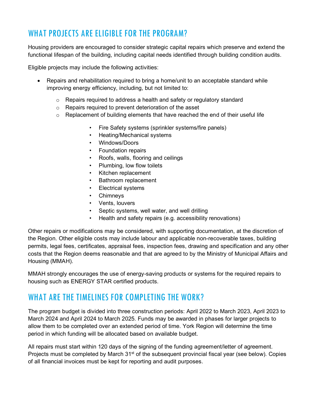# WHAT PROJECTS ARE ELIGIBLE FOR THE PROGRAM?

Housing providers are encouraged to consider strategic capital repairs which preserve and extend the functional lifespan of the building, including capital needs identified through building condition audits.

Eligible projects may include the following activities:

- Repairs and rehabilitation required to bring a home/unit to an acceptable standard while improving energy efficiency, including, but not limited to:
	- $\circ$  Repairs required to address a health and safety or regulatory standard
	- o Repairs required to prevent deterioration of the asset
	- $\circ$  Replacement of building elements that have reached the end of their useful life
		- Fire Safety systems (sprinkler systems/fire panels)
		- Heating/Mechanical systems
		- Windows/Doors
		- Foundation repairs
		- Roofs, walls, flooring and ceilings
		- Plumbing, low flow toilets
		- Kitchen replacement
		- Bathroom replacement
		- Electrical systems
		- Chimneys
		- Vents, louvers
		- Septic systems, well water, and well drilling
		- Health and safety repairs (e.g. accessibility renovations)

Other repairs or modifications may be considered, with supporting documentation, at the discretion of the Region. Other eligible costs may include labour and applicable non-recoverable taxes, building permits, legal fees, certificates, appraisal fees, inspection fees, drawing and specification and any other costs that the Region deems reasonable and that are agreed to by the Ministry of Municipal Affairs and Housing (MMAH).

MMAH strongly encourages the use of energy-saving products or systems for the required repairs to housing such as ENERGY STAR certified products.

### WHAT ARE THE TIMELINES FOR COMPLETING THE WORK?

The program budget is divided into three construction periods: April 2022 to March 2023, April 2023 to March 2024 and April 2024 to March 2025. Funds may be awarded in phases for larger projects to allow them to be completed over an extended period of time. York Region will determine the time period in which funding will be allocated based on available budget.

All repairs must start within 120 days of the signing of the funding agreement/letter of agreement. Projects must be completed by March 31<sup>st</sup> of the subsequent provincial fiscal year (see below). Copies of all financial invoices must be kept for reporting and audit purposes.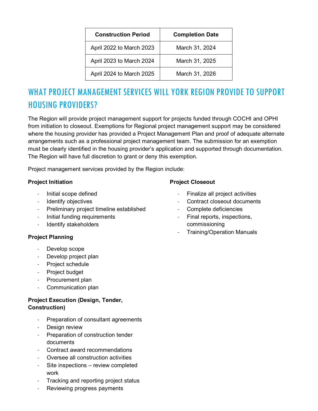| <b>Construction Period</b> | <b>Completion Date</b> |
|----------------------------|------------------------|
| April 2022 to March 2023   | March 31, 2024         |
| April 2023 to March 2024   | March 31, 2025         |
| April 2024 to March 2025   | March 31, 2026         |

# WHAT PROJECT MANAGEMENT SERVICES WILL YORK REGION PROVIDE TO SUPPORT HOUSING PROVIDERS?

The Region will provide project management support for projects funded through COCHI and OPHI from initiation to closeout. Exemptions for Regional project management support may be considered where the housing provider has provided a Project Management Plan and proof of adequate alternate arrangements such as a professional project management team. The submission for an exemption must be clearly identified in the housing provider's application and supported through documentation. The Region will have full discretion to grant or deny this exemption.

Project management services provided by the Region include:

#### **Project Initiation**

- Initial scope defined
- Identify objectives
- Preliminary project timeline established
- Initial funding requirements
- Identify stakeholders

#### **Project Planning**

- Develop scope
- Develop project plan
- Project schedule
- Project budget
- Procurement plan
- Communication plan

#### **Project Execution (Design, Tender, Construction)**

- Preparation of consultant agreements
- Design review
- Preparation of construction tender documents
- Contract award recommendations
- Oversee all construction activities
- Site inspections review completed work
- Tracking and reporting project status
- Reviewing progress payments

### **Project Closeout**

- Finalize all project activities
- Contract closeout documents
- Complete deficiencies
- Final reports, inspections, commissioning
- Training/Operation Manuals